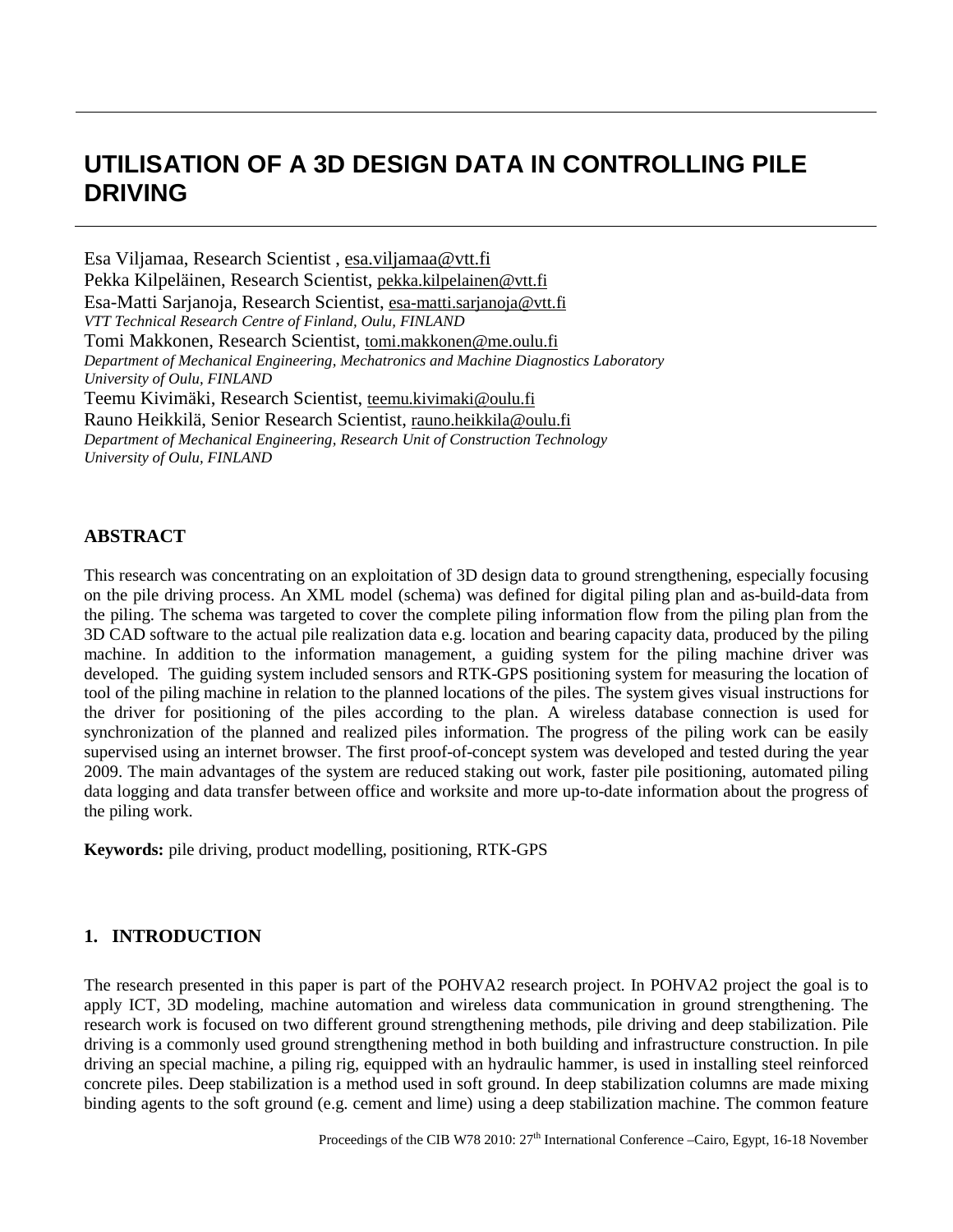# **UTILISATION OF A 3D DESIGN DATA IN CONTROLLING PILE DRIVING**

Esa Viljamaa, Research Scientist , [esa.viljamaa@vtt.f](mailto:esa.viljamaa@vtt.)i Pekka Kilpeläinen, Research Scientist, [pekka.kilpelainen@vtt.fi](mailto:pekka.kilpelainen@vtt.fi) Esa-Matti Sarjanoja, Research Scientist, [esa-matti.sarjanoja@vtt.fi](mailto:esa-matti.sarjanoja@vtt.fi) *VTT Technical Research Centre of Finland, Oulu, FINLAND* Tomi Makkonen, Research Scientist, [tomi.makkonen@me.oulu.fi](mailto:tomi.makkonen@me.oulu.fi) *Department of Mechanical Engineering, Mechatronics and Machine Diagnostics Laboratory University of Oulu, FINLAND* Teemu Kivimäki, Research Scientist, [teemu.kivimaki@oulu.fi](mailto:teemu.kivimaki@oulu.fi) Rauno Heikkilä, Senior Research Scientist, [rauno.heikkila@oulu.fi](mailto:rauno.heikkila@oulu.fi) *Department of Mechanical Engineering, Research Unit of Construction Technology University of Oulu, FINLAND*

# **ABSTRACT**

This research was concentrating on an exploitation of 3D design data to ground strengthening, especially focusing on the pile driving process. An XML model (schema) was defined for digital piling plan and as-build-data from the piling. The schema was targeted to cover the complete piling information flow from the piling plan from the 3D CAD software to the actual pile realization data e.g. location and bearing capacity data, produced by the piling machine. In addition to the information management, a guiding system for the piling machine driver was developed. The guiding system included sensors and RTK-GPS positioning system for measuring the location of tool of the piling machine in relation to the planned locations of the piles. The system gives visual instructions for the driver for positioning of the piles according to the plan. A wireless database connection is used for synchronization of the planned and realized piles information. The progress of the piling work can be easily supervised using an internet browser. The first proof-of-concept system was developed and tested during the year 2009. The main advantages of the system are reduced staking out work, faster pile positioning, automated piling data logging and data transfer between office and worksite and more up-to-date information about the progress of the piling work.

**Keywords:** pile driving, product modelling, positioning, RTK-GPS

## **1. INTRODUCTION**

The research presented in this paper is part of the POHVA2 research project. In POHVA2 project the goal is to apply ICT, 3D modeling, machine automation and wireless data communication in ground strengthening. The research work is focused on two different ground strengthening methods, pile driving and deep stabilization. Pile driving is a commonly used ground strengthening method in both building and infrastructure construction. In pile driving an special machine, a piling rig, equipped with an hydraulic hammer, is used in installing steel reinforced concrete piles. Deep stabilization is a method used in soft ground. In deep stabilization columns are made mixing binding agents to the soft ground (e.g. cement and lime) using a deep stabilization machine. The common feature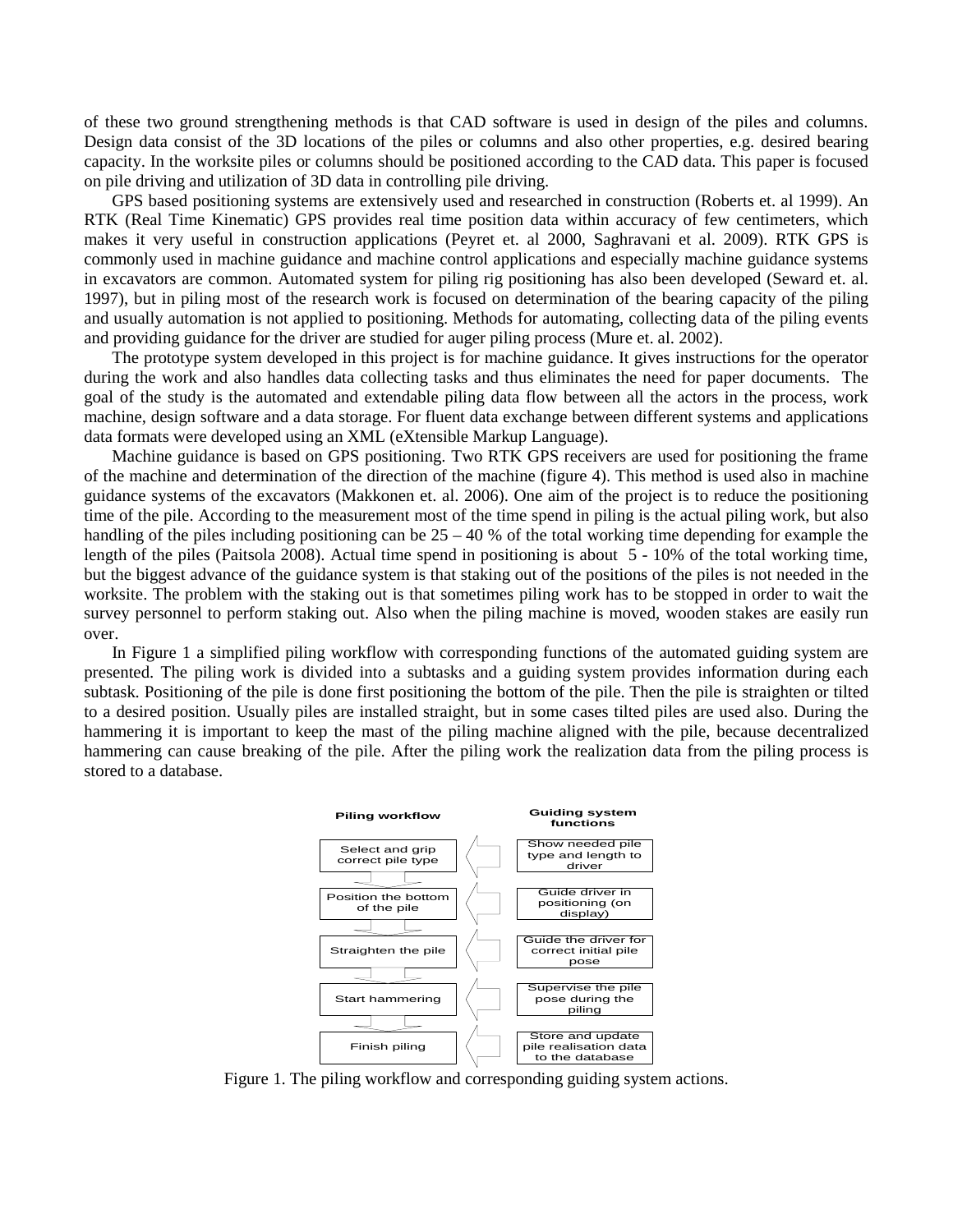of these two ground strengthening methods is that CAD software is used in design of the piles and columns. Design data consist of the 3D locations of the piles or columns and also other properties, e.g. desired bearing capacity. In the worksite piles or columns should be positioned according to the CAD data. This paper is focused on pile driving and utilization of 3D data in controlling pile driving.

GPS based positioning systems are extensively used and researched in construction (Roberts et. al 1999). An RTK (Real Time Kinematic) GPS provides real time position data within accuracy of few centimeters, which makes it very useful in construction applications (Peyret et. al 2000, Saghravani et al. 2009). RTK GPS is commonly used in machine guidance and machine control applications and especially machine guidance systems in excavators are common. Automated system for piling rig positioning has also been developed (Seward et. al. 1997), but in piling most of the research work is focused on determination of the bearing capacity of the piling and usually automation is not applied to positioning. Methods for automating, collecting data of the piling events and providing guidance for the driver are studied for auger piling process (Mure et. al. 2002).

The prototype system developed in this project is for machine guidance. It gives instructions for the operator during the work and also handles data collecting tasks and thus eliminates the need for paper documents. The goal of the study is the automated and extendable piling data flow between all the actors in the process, work machine, design software and a data storage. For fluent data exchange between different systems and applications data formats were developed using an XML (eXtensible Markup Language).

Machine guidance is based on GPS positioning. Two RTK GPS receivers are used for positioning the frame of the machine and determination of the direction of the machine (figure 4). This method is used also in machine guidance systems of the excavators (Makkonen et. al. 2006). One aim of the project is to reduce the positioning time of the pile. According to the measurement most of the time spend in piling is the actual piling work, but also handling of the piles including positioning can be  $25 - 40$  % of the total working time depending for example the length of the piles (Paitsola 2008). Actual time spend in positioning is about 5 - 10% of the total working time, but the biggest advance of the guidance system is that staking out of the positions of the piles is not needed in the worksite. The problem with the staking out is that sometimes piling work has to be stopped in order to wait the survey personnel to perform staking out. Also when the piling machine is moved, wooden stakes are easily run over.

In [Figure 1](#page-1-0) a simplified piling workflow with corresponding functions of the automated guiding system are presented. The piling work is divided into a subtasks and a guiding system provides information during each subtask. Positioning of the pile is done first positioning the bottom of the pile. Then the pile is straighten or tilted to a desired position. Usually piles are installed straight, but in some cases tilted piles are used also. During the hammering it is important to keep the mast of the piling machine aligned with the pile, because decentralized hammering can cause breaking of the pile. After the piling work the realization data from the piling process is stored to a database.



<span id="page-1-0"></span>Figure 1. The piling workflow and corresponding guiding system actions.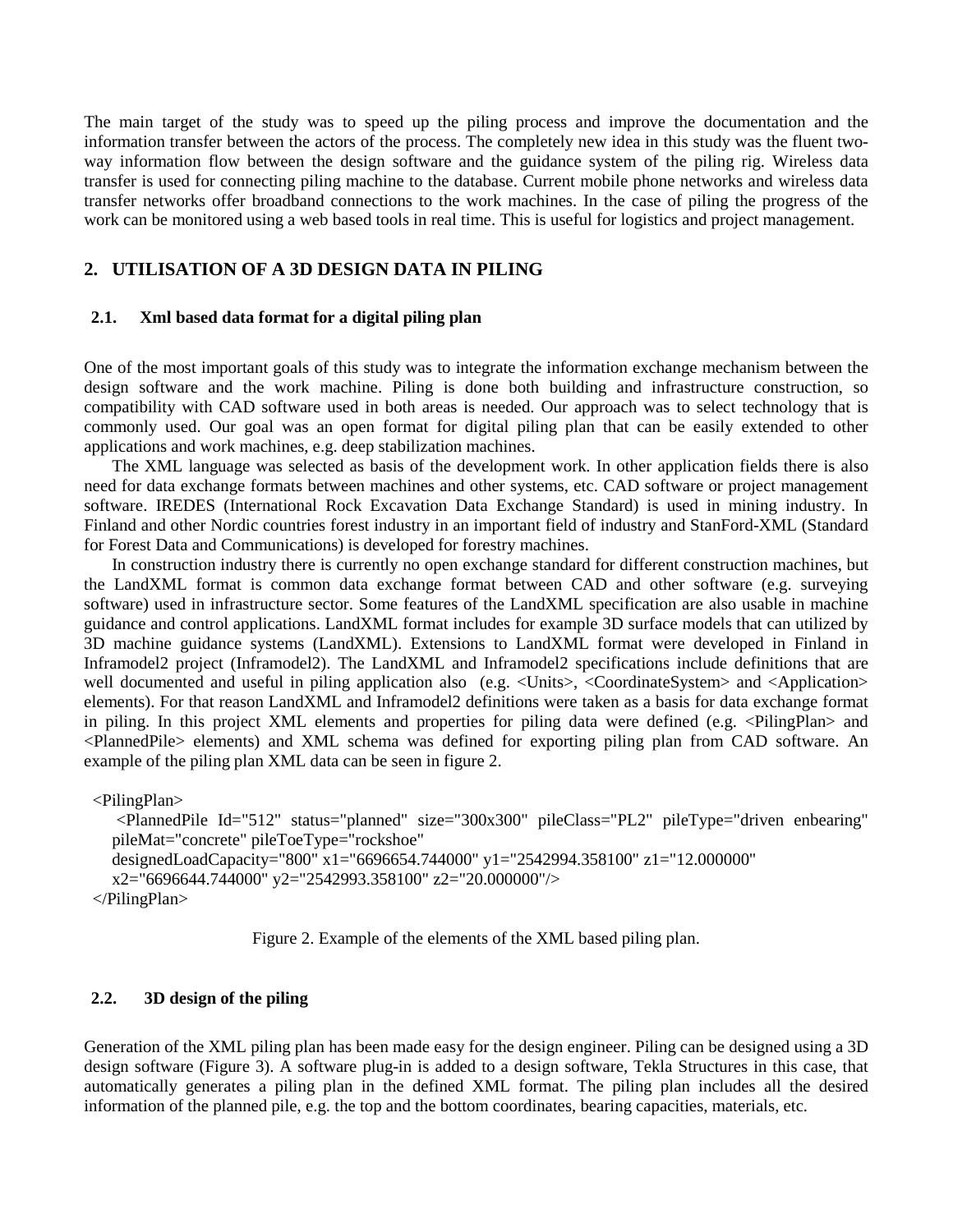The main target of the study was to speed up the piling process and improve the documentation and the information transfer between the actors of the process. The completely new idea in this study was the fluent twoway information flow between the design software and the guidance system of the piling rig. Wireless data transfer is used for connecting piling machine to the database. Current mobile phone networks and wireless data transfer networks offer broadband connections to the work machines. In the case of piling the progress of the work can be monitored using a web based tools in real time. This is useful for logistics and project management.

# **2. UTILISATION OF A 3D DESIGN DATA IN PILING**

#### **2.1. Xml based data format for a digital piling plan**

One of the most important goals of this study was to integrate the information exchange mechanism between the design software and the work machine. Piling is done both building and infrastructure construction, so compatibility with CAD software used in both areas is needed. Our approach was to select technology that is commonly used. Our goal was an open format for digital piling plan that can be easily extended to other applications and work machines, e.g. deep stabilization machines.

The XML language was selected as basis of the development work. In other application fields there is also need for data exchange formats between machines and other systems, etc. CAD software or project management software. IREDES (International Rock Excavation Data Exchange Standard) is used in mining industry. In Finland and other Nordic countries forest industry in an important field of industry and StanFord-XML (Standard for Forest Data and Communications) is developed for forestry machines.

In construction industry there is currently no open exchange standard for different construction machines, but the LandXML format is common data exchange format between CAD and other software (e.g. surveying software) used in infrastructure sector. Some features of the LandXML specification are also usable in machine guidance and control applications. LandXML format includes for example 3D surface models that can utilized by 3D machine guidance systems (LandXML). Extensions to LandXML format were developed in Finland in Inframodel2 project (Inframodel2). The LandXML and Inframodel2 specifications include definitions that are well documented and useful in piling application also (e.g. <Units>, <CoordinateSystem> and <Application> elements). For that reason LandXML and Inframodel2 definitions were taken as a basis for data exchange format in piling. In this project XML elements and properties for piling data were defined (e.g. <PilingPlan> and <PlannedPile> elements) and XML schema was defined for exporting piling plan from CAD software. An example of the piling plan XML data can be seen in figure 2.

<PilingPlan>

<PlannedPile Id="512" status="planned" size="300x300" pileClass="PL2" pileType="driven enbearing" pileMat="concrete" pileToeType="rockshoe"

designedLoadCapacity="800" x1="6696654.744000" y1="2542994.358100" z1="12.000000"

x2="6696644.744000" y2="2542993.358100" z2="20.000000"/>

```
 </PilingPlan>
```
Figure 2. Example of the elements of the XML based piling plan.

## **2.2. 3D design of the piling**

Generation of the XML piling plan has been made easy for the design engineer. Piling can be designed using a 3D design software (Figure 3). A software plug-in is added to a design software, Tekla Structures in this case, that automatically generates a piling plan in the defined XML format. The piling plan includes all the desired information of the planned pile, e.g. the top and the bottom coordinates, bearing capacities, materials, etc.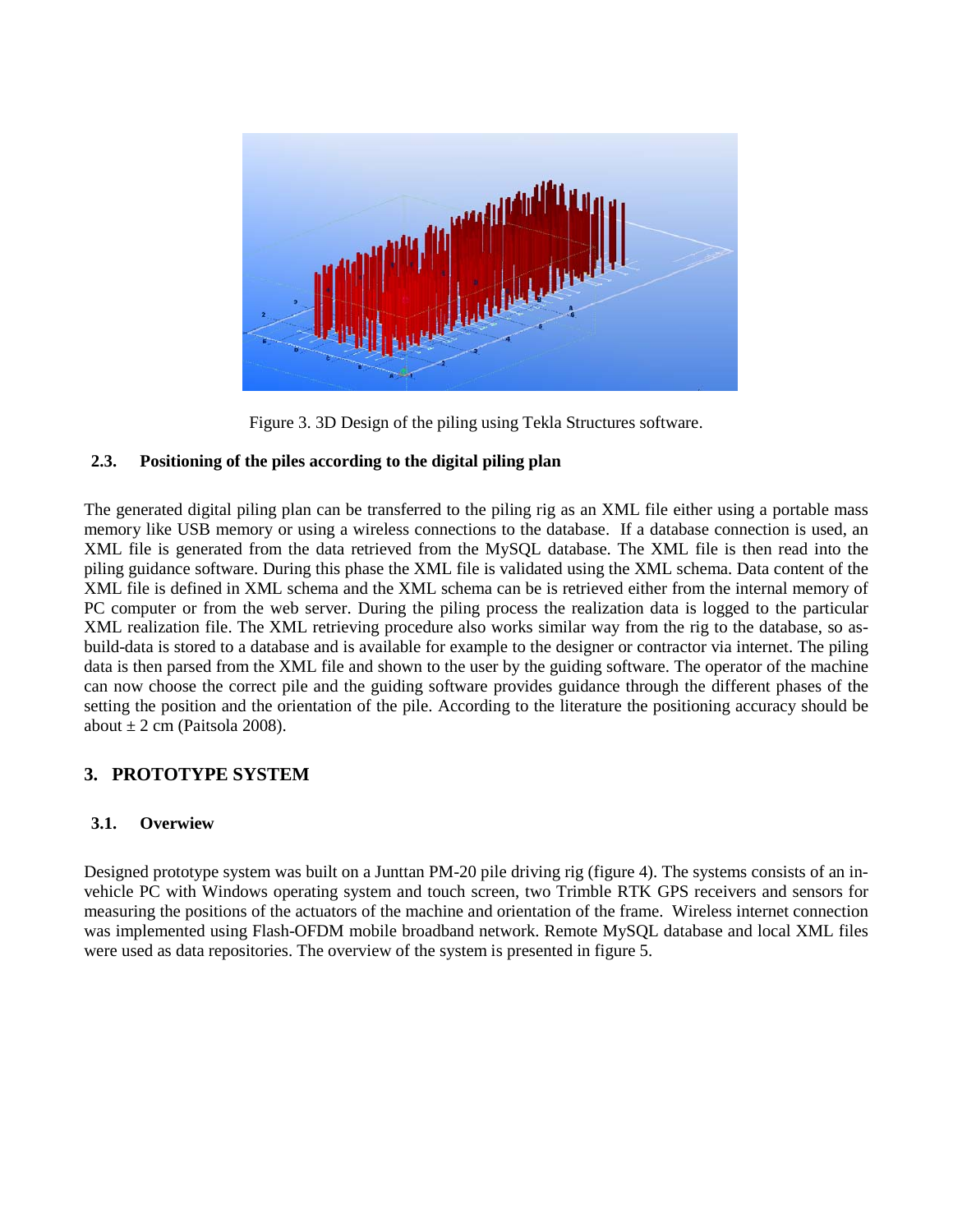

Figure 3. 3D Design of the piling using Tekla Structures software.

# **2.3. Positioning of the piles according to the digital piling plan**

The generated digital piling plan can be transferred to the piling rig as an XML file either using a portable mass memory like USB memory or using a wireless connections to the database. If a database connection is used, an XML file is generated from the data retrieved from the MySQL database. The XML file is then read into the piling guidance software. During this phase the XML file is validated using the XML schema. Data content of the XML file is defined in XML schema and the XML schema can be is retrieved either from the internal memory of PC computer or from the web server. During the piling process the realization data is logged to the particular XML realization file. The XML retrieving procedure also works similar way from the rig to the database, so asbuild-data is stored to a database and is available for example to the designer or contractor via internet. The piling data is then parsed from the XML file and shown to the user by the guiding software. The operator of the machine can now choose the correct pile and the guiding software provides guidance through the different phases of the setting the position and the orientation of the pile. According to the literature the positioning accuracy should be about  $\pm 2$  cm (Paitsola 2008).

# **3. PROTOTYPE SYSTEM**

# **3.1. Overwiew**

Designed prototype system was built on a Junttan PM-20 pile driving rig (figure 4). The systems consists of an invehicle PC with Windows operating system and touch screen, two Trimble RTK GPS receivers and sensors for measuring the positions of the actuators of the machine and orientation of the frame. Wireless internet connection was implemented using Flash-OFDM mobile broadband network. Remote MySQL database and local XML files were used as data repositories. The overview of the system is presented in figure 5.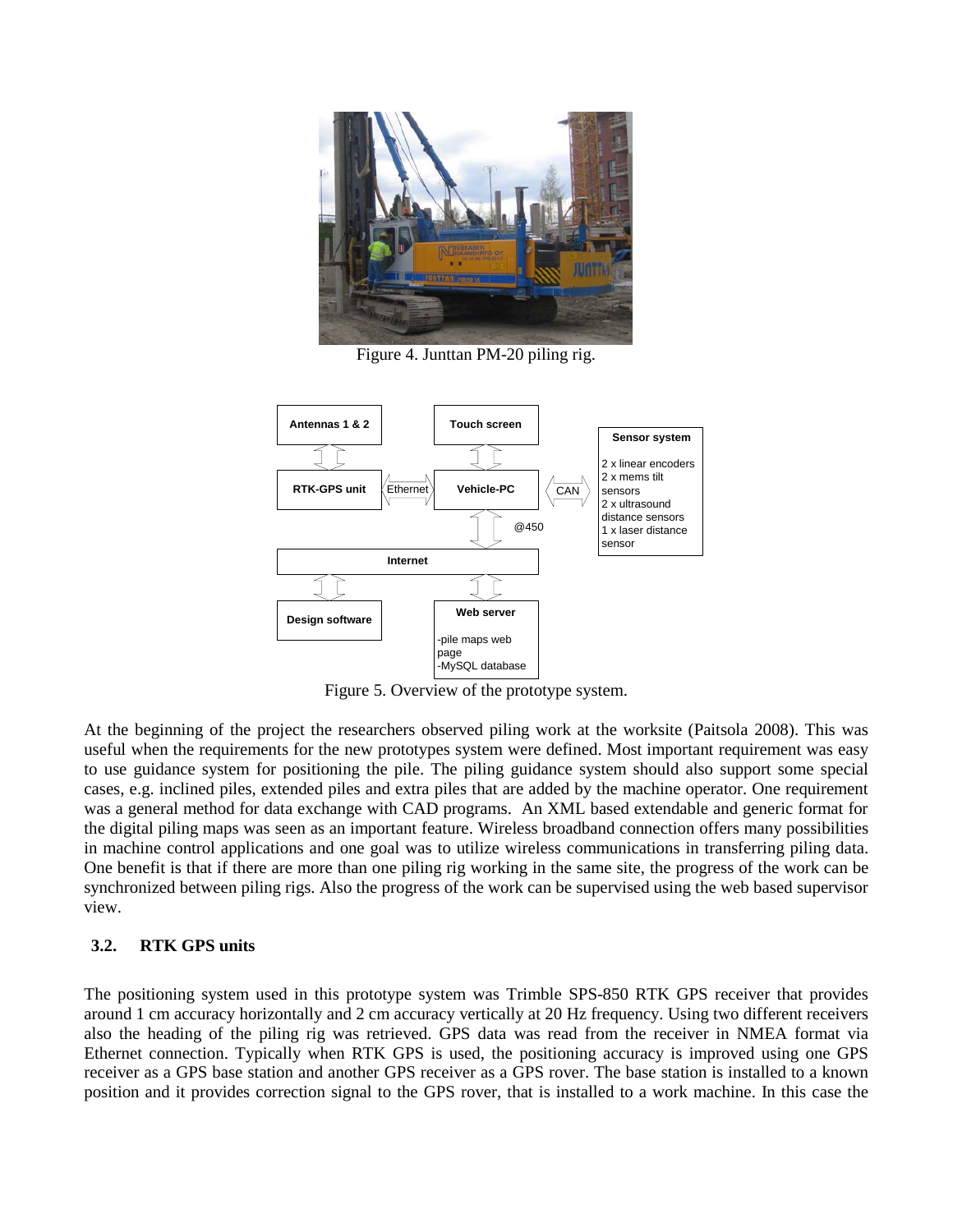

Figure 4. Junttan PM-20 piling rig.



Figure 5. Overview of the prototype system.

At the beginning of the project the researchers observed piling work at the worksite (Paitsola 2008). This was useful when the requirements for the new prototypes system were defined. Most important requirement was easy to use guidance system for positioning the pile. The piling guidance system should also support some special cases, e.g. inclined piles, extended piles and extra piles that are added by the machine operator. One requirement was a general method for data exchange with CAD programs. An XML based extendable and generic format for the digital piling maps was seen as an important feature. Wireless broadband connection offers many possibilities in machine control applications and one goal was to utilize wireless communications in transferring piling data. One benefit is that if there are more than one piling rig working in the same site, the progress of the work can be synchronized between piling rigs. Also the progress of the work can be supervised using the web based supervisor view.

# **3.2. RTK GPS units**

The positioning system used in this prototype system was Trimble SPS-850 RTK GPS receiver that provides around 1 cm accuracy horizontally and 2 cm accuracy vertically at 20 Hz frequency. Using two different receivers also the heading of the piling rig was retrieved. GPS data was read from the receiver in NMEA format via Ethernet connection. Typically when RTK GPS is used, the positioning accuracy is improved using one GPS receiver as a GPS base station and another GPS receiver as a GPS rover. The base station is installed to a known position and it provides correction signal to the GPS rover, that is installed to a work machine. In this case the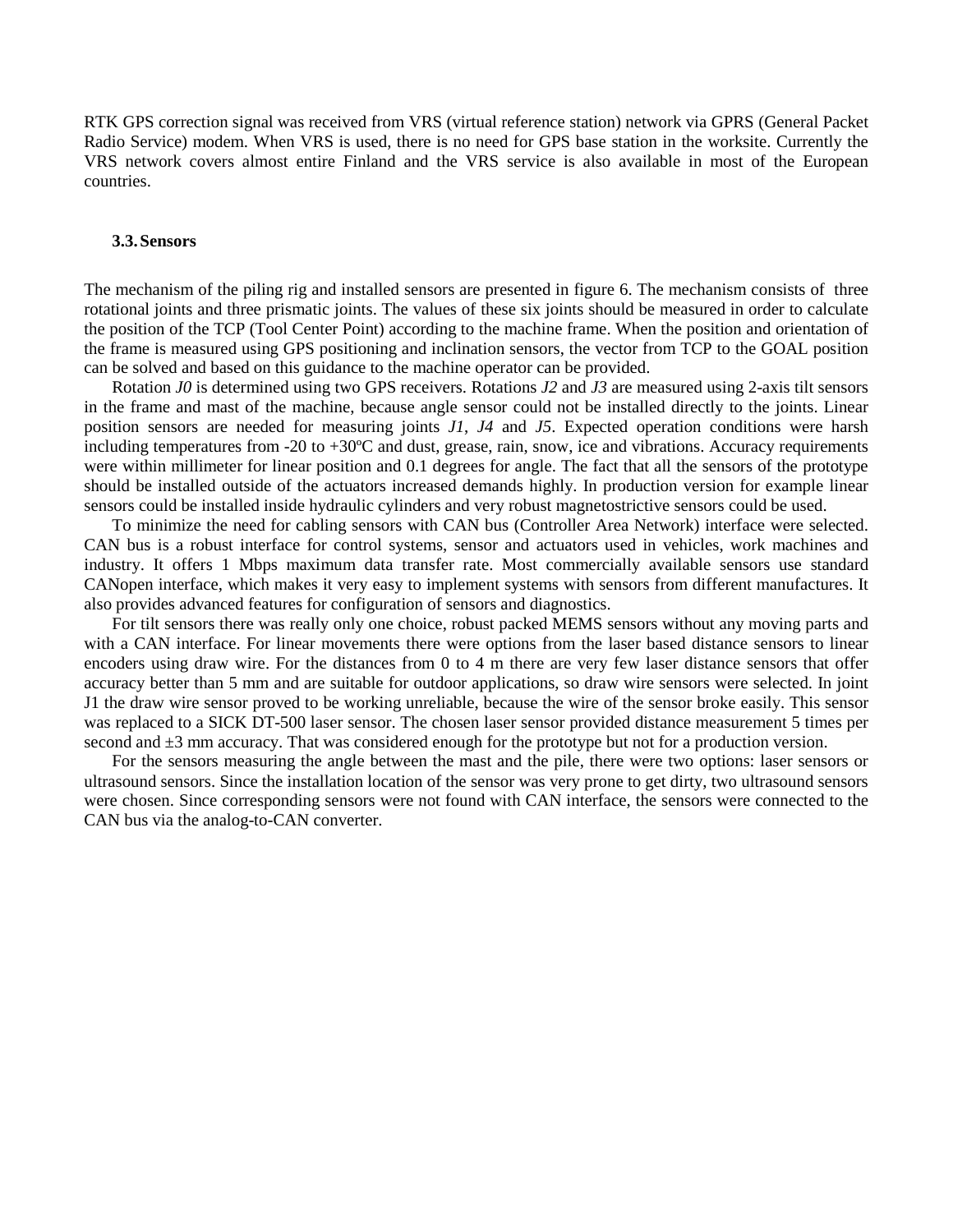RTK GPS correction signal was received from VRS (virtual reference station) network via GPRS (General Packet Radio Service) modem. When VRS is used, there is no need for GPS base station in the worksite. Currently the VRS network covers almost entire Finland and the VRS service is also available in most of the European countries.

#### **3.3.Sensors**

The mechanism of the piling rig and installed sensors are presented in figure 6. The mechanism consists of three rotational joints and three prismatic joints. The values of these six joints should be measured in order to calculate the position of the TCP (Tool Center Point) according to the machine frame. When the position and orientation of the frame is measured using GPS positioning and inclination sensors, the vector from TCP to the GOAL position can be solved and based on this guidance to the machine operator can be provided.

Rotation *J0* is determined using two GPS receivers. Rotations *J2* and *J3* are measured using 2-axis tilt sensors in the frame and mast of the machine, because angle sensor could not be installed directly to the joints. Linear position sensors are needed for measuring joints *J1*, *J4* and *J5*. Expected operation conditions were harsh including temperatures from -20 to +30ºC and dust, grease, rain, snow, ice and vibrations. Accuracy requirements were within millimeter for linear position and 0.1 degrees for angle. The fact that all the sensors of the prototype should be installed outside of the actuators increased demands highly. In production version for example linear sensors could be installed inside hydraulic cylinders and very robust magnetostrictive sensors could be used.

To minimize the need for cabling sensors with CAN bus (Controller Area Network) interface were selected. CAN bus is a robust interface for control systems, sensor and actuators used in vehicles, work machines and industry. It offers 1 Mbps maximum data transfer rate. Most commercially available sensors use standard CANopen interface, which makes it very easy to implement systems with sensors from different manufactures. It also provides advanced features for configuration of sensors and diagnostics.

For tilt sensors there was really only one choice, robust packed MEMS sensors without any moving parts and with a CAN interface. For linear movements there were options from the laser based distance sensors to linear encoders using draw wire. For the distances from 0 to 4 m there are very few laser distance sensors that offer accuracy better than 5 mm and are suitable for outdoor applications, so draw wire sensors were selected. In joint J1 the draw wire sensor proved to be working unreliable, because the wire of the sensor broke easily. This sensor was replaced to a SICK DT-500 laser sensor. The chosen laser sensor provided distance measurement 5 times per second and  $\pm 3$  mm accuracy. That was considered enough for the prototype but not for a production version.

For the sensors measuring the angle between the mast and the pile, there were two options: laser sensors or ultrasound sensors. Since the installation location of the sensor was very prone to get dirty, two ultrasound sensors were chosen. Since corresponding sensors were not found with CAN interface, the sensors were connected to the CAN bus via the analog-to-CAN converter.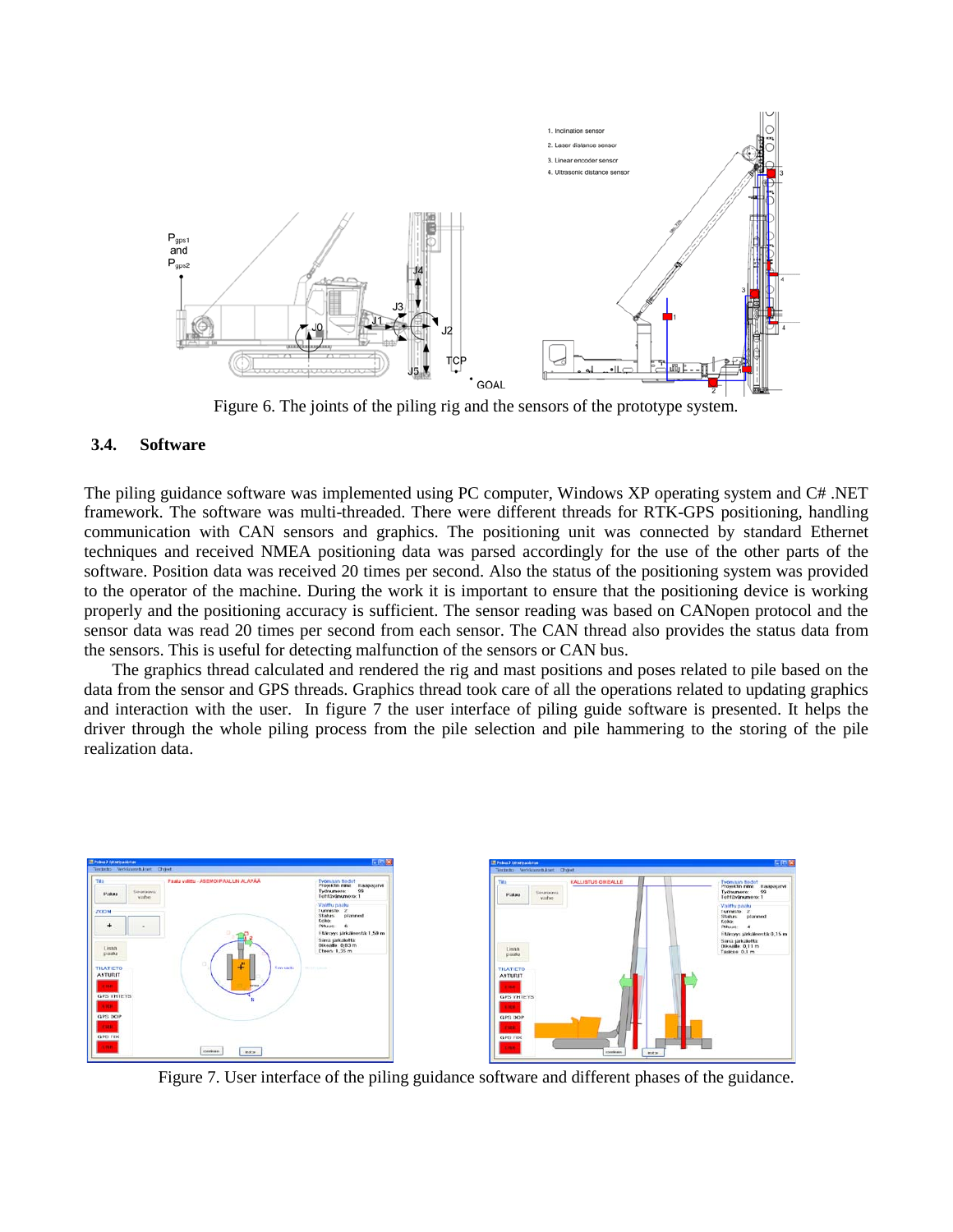

Figure 6. The joints of the piling rig and the sensors of the prototype system.

## **3.4. Software**

The piling guidance software was implemented using PC computer, Windows XP operating system and C# .NET framework. The software was multi-threaded. There were different threads for RTK-GPS positioning, handling communication with CAN sensors and graphics. The positioning unit was connected by standard Ethernet techniques and received NMEA positioning data was parsed accordingly for the use of the other parts of the software. Position data was received 20 times per second. Also the status of the positioning system was provided to the operator of the machine. During the work it is important to ensure that the positioning device is working properly and the positioning accuracy is sufficient. The sensor reading was based on CANopen protocol and the sensor data was read 20 times per second from each sensor. The CAN thread also provides the status data from the sensors. This is useful for detecting malfunction of the sensors or CAN bus.

The graphics thread calculated and rendered the rig and mast positions and poses related to pile based on the data from the sensor and GPS threads. Graphics thread took care of all the operations related to updating graphics and interaction with the user. In figure 7 the user interface of piling guide software is presented. It helps the driver through the whole piling process from the pile selection and pile hammering to the storing of the pile realization data.



Figure 7. User interface of the piling guidance software and different phases of the guidance.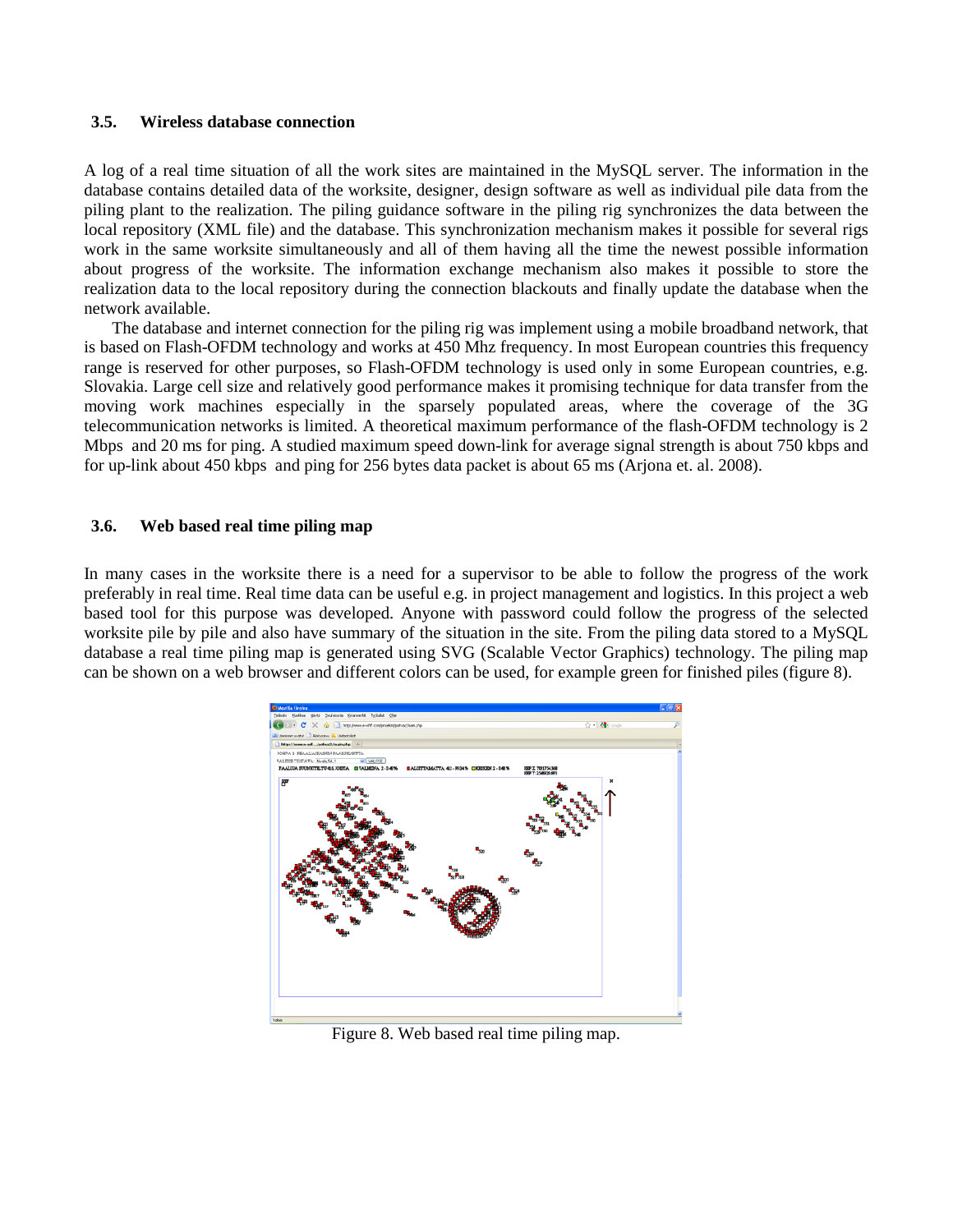#### **3.5. Wireless database connection**

A log of a real time situation of all the work sites are maintained in the MySQL server. The information in the database contains detailed data of the worksite, designer, design software as well as individual pile data from the piling plant to the realization. The piling guidance software in the piling rig synchronizes the data between the local repository (XML file) and the database. This synchronization mechanism makes it possible for several rigs work in the same worksite simultaneously and all of them having all the time the newest possible information about progress of the worksite. The information exchange mechanism also makes it possible to store the realization data to the local repository during the connection blackouts and finally update the database when the network available.

The database and internet connection for the piling rig was implement using a mobile broadband network, that is based on Flash-OFDM technology and works at 450 Mhz frequency. In most European countries this frequency range is reserved for other purposes, so Flash-OFDM technology is used only in some European countries, e.g. Slovakia. Large cell size and relatively good performance makes it promising technique for data transfer from the moving work machines especially in the sparsely populated areas, where the coverage of the 3G telecommunication networks is limited. A theoretical maximum performance of the flash-OFDM technology is 2 Mbps and 20 ms for ping. A studied maximum speed down-link for average signal strength is about 750 kbps and for up-link about 450 kbps and ping for 256 bytes data packet is about 65 ms (Arjona et. al. 2008).

#### **3.6. Web based real time piling map**

In many cases in the worksite there is a need for a supervisor to be able to follow the progress of the work preferably in real time. Real time data can be useful e.g. in project management and logistics. In this project a web based tool for this purpose was developed. Anyone with password could follow the progress of the selected worksite pile by pile and also have summary of the situation in the site. From the piling data stored to a MySQL database a real time piling map is generated using SVG (Scalable Vector Graphics) technology. The piling map can be shown on a web browser and different colors can be used, for example green for finished piles (figure 8).



Figure 8. Web based real time piling map.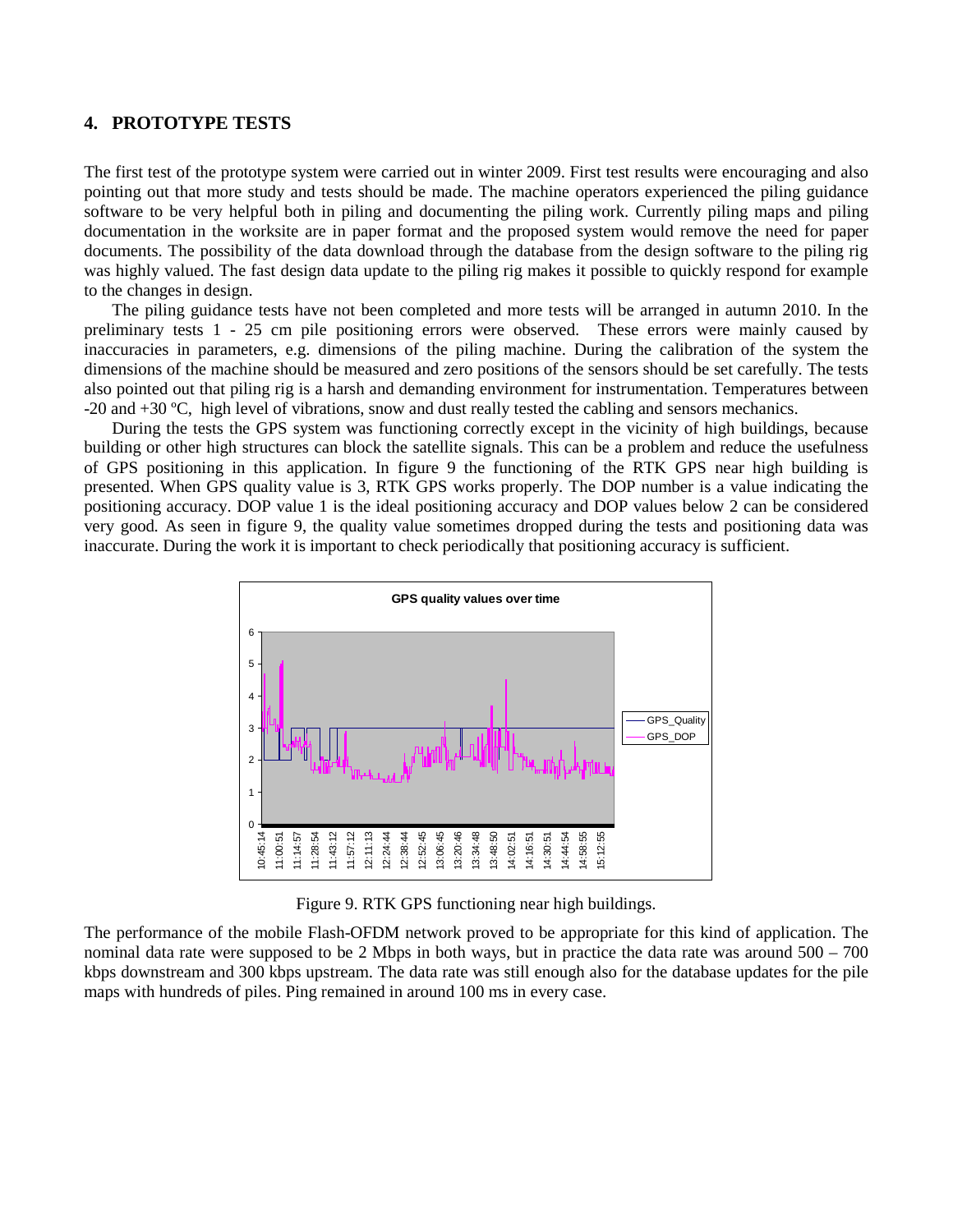## **4. PROTOTYPE TESTS**

The first test of the prototype system were carried out in winter 2009. First test results were encouraging and also pointing out that more study and tests should be made. The machine operators experienced the piling guidance software to be very helpful both in piling and documenting the piling work. Currently piling maps and piling documentation in the worksite are in paper format and the proposed system would remove the need for paper documents. The possibility of the data download through the database from the design software to the piling rig was highly valued. The fast design data update to the piling rig makes it possible to quickly respond for example to the changes in design.

The piling guidance tests have not been completed and more tests will be arranged in autumn 2010. In the preliminary tests 1 - 25 cm pile positioning errors were observed. These errors were mainly caused by inaccuracies in parameters, e.g. dimensions of the piling machine. During the calibration of the system the dimensions of the machine should be measured and zero positions of the sensors should be set carefully. The tests also pointed out that piling rig is a harsh and demanding environment for instrumentation. Temperatures between -20 and +30 ºC, high level of vibrations, snow and dust really tested the cabling and sensors mechanics.

During the tests the GPS system was functioning correctly except in the vicinity of high buildings, because building or other high structures can block the satellite signals. This can be a problem and reduce the usefulness of GPS positioning in this application. In figure 9 the functioning of the RTK GPS near high building is presented. When GPS quality value is 3, RTK GPS works properly. The DOP number is a value indicating the positioning accuracy. DOP value 1 is the ideal positioning accuracy and DOP values below 2 can be considered very good. As seen in figure 9, the quality value sometimes dropped during the tests and positioning data was inaccurate. During the work it is important to check periodically that positioning accuracy is sufficient.



Figure 9. RTK GPS functioning near high buildings.

The performance of the mobile Flash-OFDM network proved to be appropriate for this kind of application. The nominal data rate were supposed to be 2 Mbps in both ways, but in practice the data rate was around 500 – 700 kbps downstream and 300 kbps upstream. The data rate was still enough also for the database updates for the pile maps with hundreds of piles. Ping remained in around 100 ms in every case.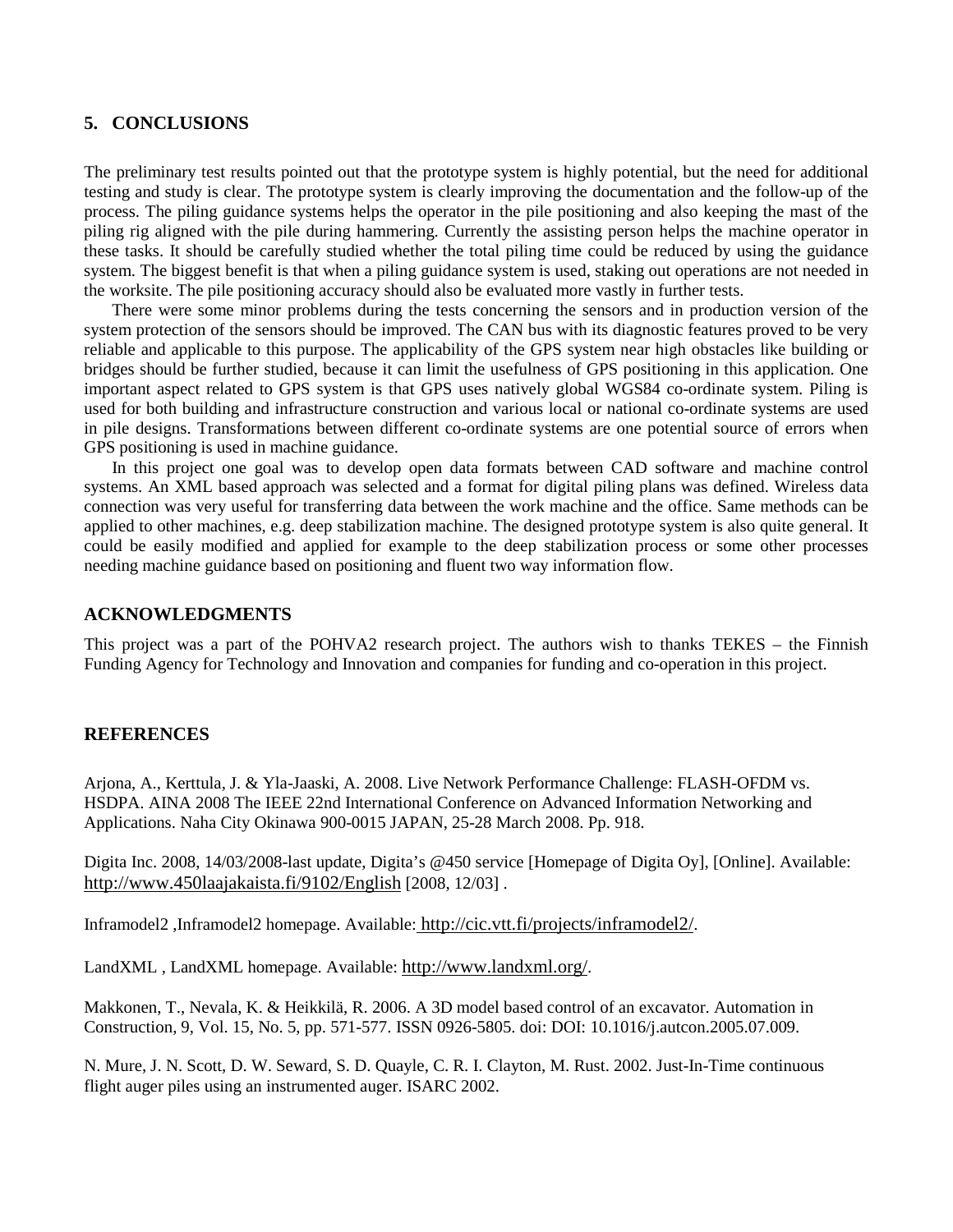# **5. CONCLUSIONS**

The preliminary test results pointed out that the prototype system is highly potential, but the need for additional testing and study is clear. The prototype system is clearly improving the documentation and the follow-up of the process. The piling guidance systems helps the operator in the pile positioning and also keeping the mast of the piling rig aligned with the pile during hammering. Currently the assisting person helps the machine operator in these tasks. It should be carefully studied whether the total piling time could be reduced by using the guidance system. The biggest benefit is that when a piling guidance system is used, staking out operations are not needed in the worksite. The pile positioning accuracy should also be evaluated more vastly in further tests.

There were some minor problems during the tests concerning the sensors and in production version of the system protection of the sensors should be improved. The CAN bus with its diagnostic features proved to be very reliable and applicable to this purpose. The applicability of the GPS system near high obstacles like building or bridges should be further studied, because it can limit the usefulness of GPS positioning in this application. One important aspect related to GPS system is that GPS uses natively global WGS84 co-ordinate system. Piling is used for both building and infrastructure construction and various local or national co-ordinate systems are used in pile designs. Transformations between different co-ordinate systems are one potential source of errors when GPS positioning is used in machine guidance.

In this project one goal was to develop open data formats between CAD software and machine control systems. An XML based approach was selected and a format for digital piling plans was defined. Wireless data connection was very useful for transferring data between the work machine and the office. Same methods can be applied to other machines, e.g. deep stabilization machine. The designed prototype system is also quite general. It could be easily modified and applied for example to the deep stabilization process or some other processes needing machine guidance based on positioning and fluent two way information flow.

## **ACKNOWLEDGMENTS**

This project was a part of the POHVA2 research project. The authors wish to thanks TEKES – the Finnish Funding Agency for Technology and Innovation and companies for funding and co-operation in this project.

#### **REFERENCES**

Arjona, A., Kerttula, J. & Yla-Jaaski, A. 2008. Live Network Performance Challenge: FLASH-OFDM vs. HSDPA. AINA 2008 The IEEE 22nd International Conference on Advanced Information Networking and Applications. Naha City Okinawa 900-0015 JAPAN, 25-28 March 2008. Pp. 918.

Digita Inc. 2008, 14/03/2008-last update, Digita's @450 service [Homepage of Digita Oy], [Online]. Available: <http://www.450laajakaista.fi/9102/English> [2008, 12/03] .

Inframodel2 ,Inframodel2 homepage. Available: http://cic.vtt.fi/projects/inframodel2/.

LandXML , LandXML homepage. Available: [http://www.landxml.org/.](http://www.landxml.org/)

Makkonen, T., Nevala, K. & Heikkilä, R. 2006. A 3D model based control of an excavator. Automation in Construction, 9, Vol. 15, No. 5, pp. 571-577. ISSN 0926-5805. doi: DOI: 10.1016/j.autcon.2005.07.009.

N. Mure, J. N. Scott, D. W. Seward, S. D. Quayle, C. R. I. Clayton, M. Rust. 2002. Just-In-Time continuous flight auger piles using an instrumented auger. ISARC 2002.